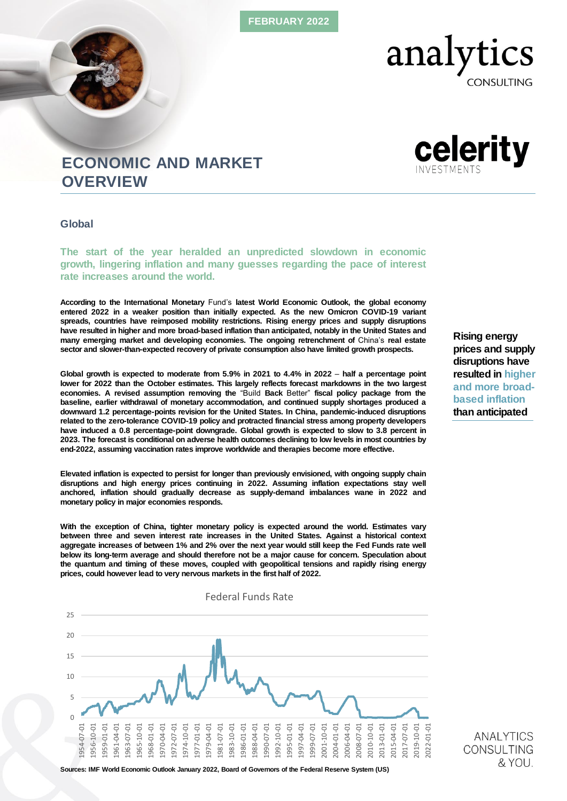FEBRUARY 2022

## analyt tics

**CONSULTING** 

# celerity

## ECONOMIC AND MARKET **OVERVIEW**

Global

The start of the year heralded an unpredicted slowdown in economic growth, lingering inflation and many guesses regarding the pace of interest rate increases around the world.

According to the International Monetary Fund's latest World Economic Outlook, the global economy entered 2022 in a weaker position than initially expected. As the new Omicron COVID-19 variant spreads, countries have reimposed mobility restrictions. Rising energy prices and supply disruptions have resulted in higher and more broad-based inflation than anticipated, notably in the United States and many emerging market and developing economies. The ongoing retrenchment of China's real estate sector and slower-than-expected recovery of private consumption also have limited growth prospects.

Global growth is expected to moderate from 5.9% in 2021 to 4.4% in 2022 – half a percentage point lower for 2022 than the October estimates. This largely reflects forecast markdowns in the two largest economies. A revised assumption removing the "Build Back Better" fiscal policy package from the baseline, earlier withdrawal of monetary accommodation, and continued supply shortages produced a downward 1.2 percentage-points revision for the United States. In China, pandemic-induced disruptions related to the zero-tolerance COVID-19 policy and protracted financial stress among property developers have induced a 0.8 percentage-point downgrade. Global growth is expected to slow to 3.8 percent in 2023. The forecast is conditional on adverse health outcomes declining to low levels in most countries by end-2022, assuming vaccination rates improve worldwide and therapies become more effective.

Elevated inflation is expected to persist for longer than previously envisioned, with ongoing supply chain disruptions and high energy prices continuing in 2022. Assuming inflation expectations stay well anchored, inflation should gradually decrease as supply-demand imbalances wane in 2022 and monetary policy in major economies responds.

With the exception of China, tighter monetary policy is expected around the world. Estimates vary between three and seven interest rate increases in the United States. Against a historical context aggregate increases of between 1% and 2% over the next year would still keep the Fed Funds rate well below its long-term average and should therefore not be a major cause for concern. Speculation about the quantum and timing of these moves, coupled with geopolitical tensions and rapidly rising energy prices, could however lead to very nervous markets in the first half of 2022.

Federal Funds Rate

 $\Omega$ 5 10 15  $20$ 25 1954-07-01 1956-10-01 1959-01-01 1961-04-01 1963-07-01 1965-10-01 1968-01-01 1970-04-01 1972-07-01 1974-10-01 1977-01-01 1979-04-01 1981-07-01 1983-10-01 1986-01-01 1988-04-01 1990-07-01 1992-10-01 1995-01-01 1997-04-01 1999-07-01 2001-10-01 2004-01-01 2006-04-01 2008-07-01 2010-10-01 2013-01-01 2015-04-01 2017-07-01 2019-10-01 2022-01-01 Rising energy prices and supply disruptions have resulted in higher and more broadbased inflation than anticipated

> **ANALYTICS** CONSULTING & YOU.

Sources: IMF World Economic Outlook January 2022, Board of Governors of the Federal Reserve System (US)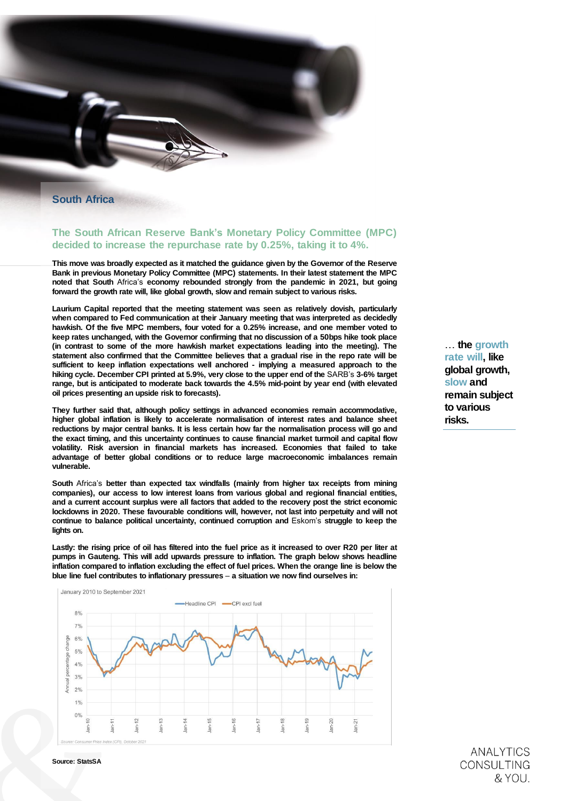South Africa

### The South African Reserve Bank's Monetary Policy Committee (MPC) decided to increase the repurchase rate by 0.25%, taking it to 4%.

This move was broadly expected as it matched the guidance given by the Governor of the Reserve Bank in previous Monetary Policy Committee (MPC) statements. In their latest statement the MPC noted that South Africa's economy rebounded strongly from the pandemic in 2021, but going forward the growth rate will, like global growth, slow and remain subject to various risks.

Laurium Capital reported that the meeting statement was seen as relatively dovish, particularly when compared to Fed communication at their January meeting that was interpreted as decidedly hawkish. Of the five MPC members, four voted for a 0.25% increase, and one member voted to keep rates unchanged, with the Governor confirming that no discussion of a 50bps hike took place (in contrast to some of the more hawkish market expectations leading into the meeting). The statement also confirmed that the Committee believes that a gradual rise in the repo rate will be sufficient to keep inflation expectations well anchored - implying a measured approach to the hiking cycle. December CPI printed at 5.9%, very close to the upper end of the SARB's 3-6% target range, but is anticipated to moderate back towards the 4.5% mid-point by year end (with elevated oil prices presenting an upside risk to forecasts).

They further said that, although policy settings in advanced economies remain accommodative, higher global inflation is likely to accelerate normalisation of interest rates and balance sheet reductions by major central banks. It is less certain how far the normalisation process will go and the exact timing, and this uncertainty continues to cause financial market turmoil and capital flow volatility. Risk aversion in financial markets has increased. Economies that failed to take advantage of better global conditions or to reduce large macroeconomic imbalances remain vulnerable.

South Africa's better than expected tax windfalls (mainly from higher tax receipts from mining companies), our access to low interest loans from various global and regional financial entities, and a current account surplus were all factors that added to the recovery post the strict economic lockdowns in 2020. These favourable conditions will, however, not last into perpetuity and will not continue to balance political uncertainty, continued corruption and Eskom's struggle to keep the lights on.

Lastly: the rising price of oil has filtered into the fuel price as it increased to over R20 per liter at pumps in Gauteng. This will add upwards pressure to inflation. The graph below shows headline inflation compared to inflation excluding the effect of fuel prices. When the orange line is below the blue line fuel contributes to inflationary pressures – a situation we now find ourselves in:



… the growth rate will, like global growth, slow and remain subject to various risks.

> **ANALYTICS CONSULTING** & YOU.

Source: StatsSA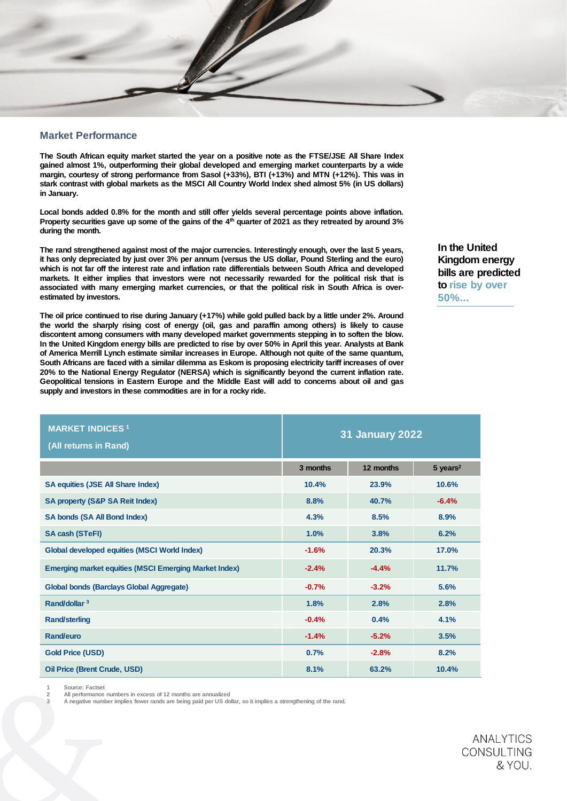#### Market Performance

The South African equity market started the year on a positive note as the FTSE/JSE All Share Index gained almost 1%, outperforming their global developed and emerging market counterparts by a wide margin, courtesy of strong performance from Sasol (+33%), BTI (+13%) and MTN (+12%). This was in stark contrast with global markets as the MSCI All Country World Index shed almost 5% (in US dollars) in January.

Local bonds added 0.8% for the month and still offer yields several percentage points above inflation. Property securities gave up some of the gains of the 4<sup>th</sup> quarter of 2021 as they retreated by around 3% during the month.

The rand strengthened against most of the major currencies. Interestingly enough, over the last 5 years, it has only depreciated by just over 3% per annum (versus the US dollar, Pound Sterling and the euro) which is not far off the interest rate and inflation rate differentials between South Africa and developed markets. It either implies that investors were not necessarily rewarded for the political risk that is associated with many emerging market currencies, or that the political risk in South Africa is overestimated by investors.

The oil price continued to rise during January (+17%) while gold pulled back by a little under 2%. Around the world the sharply rising cost of energy (oil, gas and paraffin among others) is likely to cause discontent among consumers with many developed market governments stepping in to soften the blow. In the United Kingdom energy bills are predicted to rise by over 50% in April this year. Analysts at Bank of America Merrill Lynch estimate similar increases in Europe. Although not quite of the same quantum, South Africans are faced with a similar dilemma as Eskom is proposing electricity tariff increases of over 20% to the National Energy Regulator (NERSA) which is significantly beyond the current inflation rate. Geopolitical tensions in Eastern Europe and the Middle East will add to concerns about oil and gas supply and investors in these commodities are in for a rocky ride.

| In the United       |  |  |  |
|---------------------|--|--|--|
| Kingdom energy      |  |  |  |
| bills are predicted |  |  |  |
| to rise by over     |  |  |  |
| $50\%$              |  |  |  |

| <b>MARKET INDICES 1</b><br>(All returns in Rand)      | <b>31 January 2022</b> |           |                        |
|-------------------------------------------------------|------------------------|-----------|------------------------|
|                                                       | 3 months               | 12 months | $5$ years <sup>2</sup> |
| SA equities (JSE All Share Index)                     | 10.4%                  | 23.9%     | 10.6%                  |
| SA property (S&P SA Reit Index)                       | 8.8%                   | 40.7%     | $-6.4%$                |
| SA bonds (SA All Bond Index)                          | 4.3%                   | 8.5%      | 8.9%                   |
| SA cash (STeFI)                                       | 1.0%                   | 3.8%      | 6.2%                   |
| Global developed equities (MSCI World Index)          | $-1.6%$                | 20.3%     | 17.0%                  |
| Emerging market equities (MSCI Emerging Market Index) | $-2.4%$                | $-4.4%$   | 11.7%                  |
| Global bonds (Barclays Global Aggregate)              | $-0.7%$                | $-3.2%$   | 5.6%                   |
| Rand/dollar <sup>3</sup>                              | 1.8%                   | 2.8%      | 2.8%                   |
| Rand/sterling                                         | $-0.4%$                | 0.4%      | 4.1%                   |
| Rand/euro                                             | $-1.4%$                | $-5.2%$   | 3.5%                   |
| Gold Price (USD)                                      | 0.7%                   | $-2.8%$   | 8.2%                   |
| Oil Price (Brent Crude, USD)                          | 8.1%                   | 63.2%     | 10.4%                  |

Source: Factset

2 All performance numbers in excess of 12 months are annualized

A negative number implies fewer rands are being paid per US dollar, so it implies a strengthening of the rand.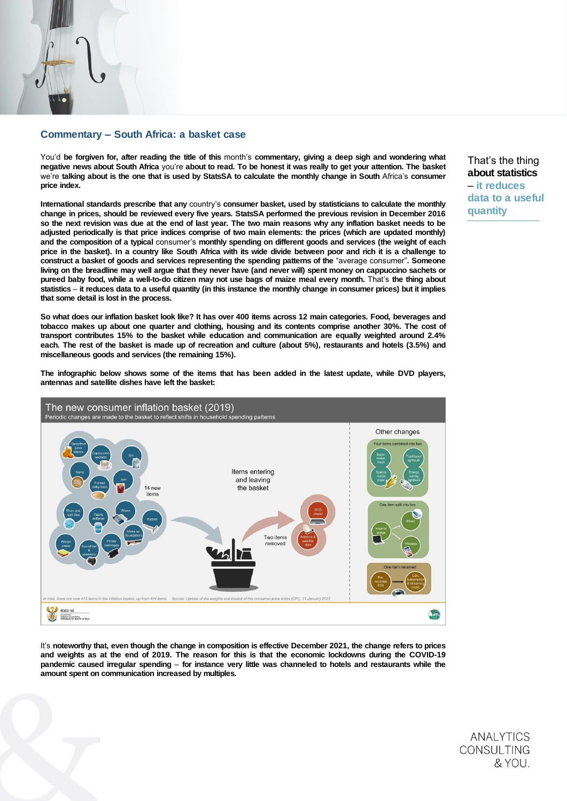#### Commentary – South Africa: a basket case

You'd be forgiven for, after reading the title of this month's commentary, giving a deep sigh and wondering what negative news about South Africa you're about to read. To be honest it was really to get your attention. The basket we're talking about is the one that is used by StatsSA to calculate the monthly change in South Africa's consumer price index.

International standards prescribe that any country's consumer basket, used by statisticians to calculate the monthly change in prices, should be reviewed every five years. StatsSA performed the previous revision in December 2016 so the next revision was due at the end of last year. The two main reasons why any inflation basket needs to be adjusted periodically is that price indices comprise of two main elements: the prices (which are updated monthly) and the composition of a typical consumer's monthly spending on different goods and services (the weight of each price in the basket). In a country like South Africa with its wide divide between poor and rich it is a challenge to construct a basket of goods and services representing the spending patterns of the "average consumer". Someone living on the breadline may well argue that they never have (and never will) spent money on cappuccino sachets or pureed baby food, while a well-to-do citizen may not use bags of maize meal every month. That's the thing about statistics – it reduces data to a useful quantity (in this instance the monthly change in consumer prices) but it implies that some detail is lost in the process.

So what does our inflation basket look like? It has over 400 items across 12 main categories. Food, beverages and tobacco makes up about one quarter and clothing, housing and its contents comprise another 30%. The cost of transport contributes 15% to the basket while education and communication are equally weighted around 2.4% each. The rest of the basket is made up of recreation and culture (about 5%), restaurants and hotels (3.5%) and miscellaneous goods and services (the remaining 15%).

The infographic below shows some of the items that has been added in the latest update, while DVD players, antennas and satellite dishes have left the basket:



It's noteworthy that, even though the change in composition is effective December 2021, the change refers to prices and weights as at the end of 2019. The reason for this is that the economic lockdowns during the COVID-19 pandemic caused irregular spending – for instance very little was channeled to hotels and restaurants while the amount spent on communication increased by multiples.

That's the thing about statistics – it reduces data to a useful quantity

**ANALYTICS CONSULTING** & YOU.